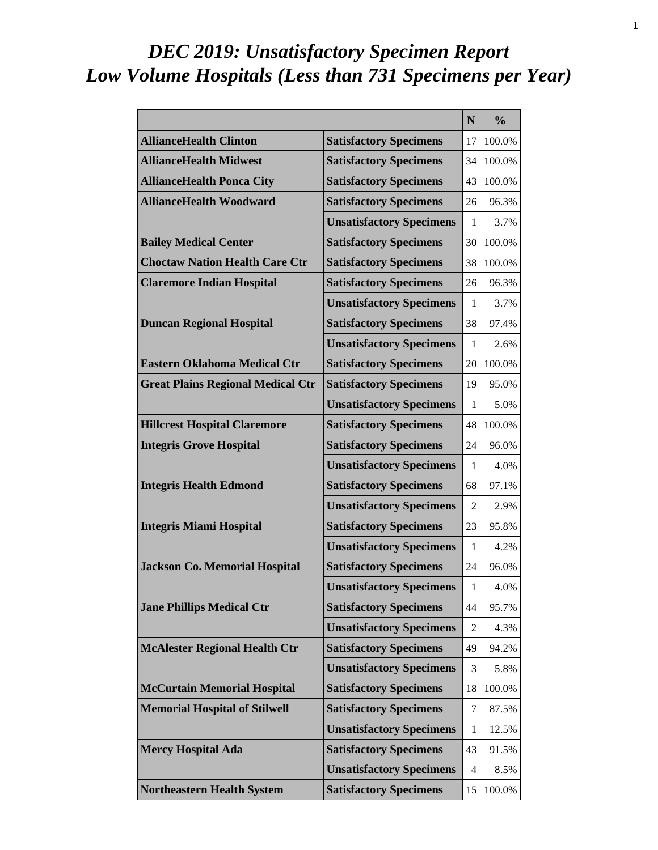# *DEC 2019: Unsatisfactory Specimen Report Low Volume Hospitals (Less than 731 Specimens per Year)*

|                                          |                                 | N  | $\frac{0}{0}$ |
|------------------------------------------|---------------------------------|----|---------------|
| <b>AllianceHealth Clinton</b>            | <b>Satisfactory Specimens</b>   | 17 | 100.0%        |
| <b>AllianceHealth Midwest</b>            | <b>Satisfactory Specimens</b>   | 34 | 100.0%        |
| <b>AllianceHealth Ponca City</b>         | <b>Satisfactory Specimens</b>   | 43 | 100.0%        |
| <b>AllianceHealth Woodward</b>           | <b>Satisfactory Specimens</b>   | 26 | 96.3%         |
|                                          | <b>Unsatisfactory Specimens</b> | 1  | 3.7%          |
| <b>Bailey Medical Center</b>             | <b>Satisfactory Specimens</b>   | 30 | 100.0%        |
| <b>Choctaw Nation Health Care Ctr</b>    | <b>Satisfactory Specimens</b>   | 38 | 100.0%        |
| <b>Claremore Indian Hospital</b>         | <b>Satisfactory Specimens</b>   | 26 | 96.3%         |
|                                          | <b>Unsatisfactory Specimens</b> | 1  | 3.7%          |
| <b>Duncan Regional Hospital</b>          | <b>Satisfactory Specimens</b>   | 38 | 97.4%         |
|                                          | <b>Unsatisfactory Specimens</b> | 1  | 2.6%          |
| <b>Eastern Oklahoma Medical Ctr</b>      | <b>Satisfactory Specimens</b>   | 20 | 100.0%        |
| <b>Great Plains Regional Medical Ctr</b> | <b>Satisfactory Specimens</b>   | 19 | 95.0%         |
|                                          | <b>Unsatisfactory Specimens</b> | 1  | 5.0%          |
| <b>Hillcrest Hospital Claremore</b>      | <b>Satisfactory Specimens</b>   | 48 | 100.0%        |
| <b>Integris Grove Hospital</b>           | <b>Satisfactory Specimens</b>   | 24 | 96.0%         |
|                                          | <b>Unsatisfactory Specimens</b> | 1  | 4.0%          |
| <b>Integris Health Edmond</b>            | <b>Satisfactory Specimens</b>   | 68 | 97.1%         |
|                                          | <b>Unsatisfactory Specimens</b> | 2  | 2.9%          |
| <b>Integris Miami Hospital</b>           | <b>Satisfactory Specimens</b>   | 23 | 95.8%         |
|                                          | <b>Unsatisfactory Specimens</b> | 1  | 4.2%          |
| <b>Jackson Co. Memorial Hospital</b>     | <b>Satisfactory Specimens</b>   | 24 | 96.0%         |
|                                          | <b>Unsatisfactory Specimens</b> | 1  | 4.0%          |
| <b>Jane Phillips Medical Ctr</b>         | <b>Satisfactory Specimens</b>   | 44 | 95.7%         |
|                                          | <b>Unsatisfactory Specimens</b> | 2  | 4.3%          |
| <b>McAlester Regional Health Ctr</b>     | <b>Satisfactory Specimens</b>   | 49 | 94.2%         |
|                                          | <b>Unsatisfactory Specimens</b> | 3  | 5.8%          |
| <b>McCurtain Memorial Hospital</b>       | <b>Satisfactory Specimens</b>   | 18 | 100.0%        |
| <b>Memorial Hospital of Stilwell</b>     | <b>Satisfactory Specimens</b>   | 7  | 87.5%         |
|                                          | <b>Unsatisfactory Specimens</b> | 1  | 12.5%         |
| <b>Mercy Hospital Ada</b>                | <b>Satisfactory Specimens</b>   | 43 | 91.5%         |
|                                          | <b>Unsatisfactory Specimens</b> | 4  | 8.5%          |
| <b>Northeastern Health System</b>        | <b>Satisfactory Specimens</b>   | 15 | 100.0%        |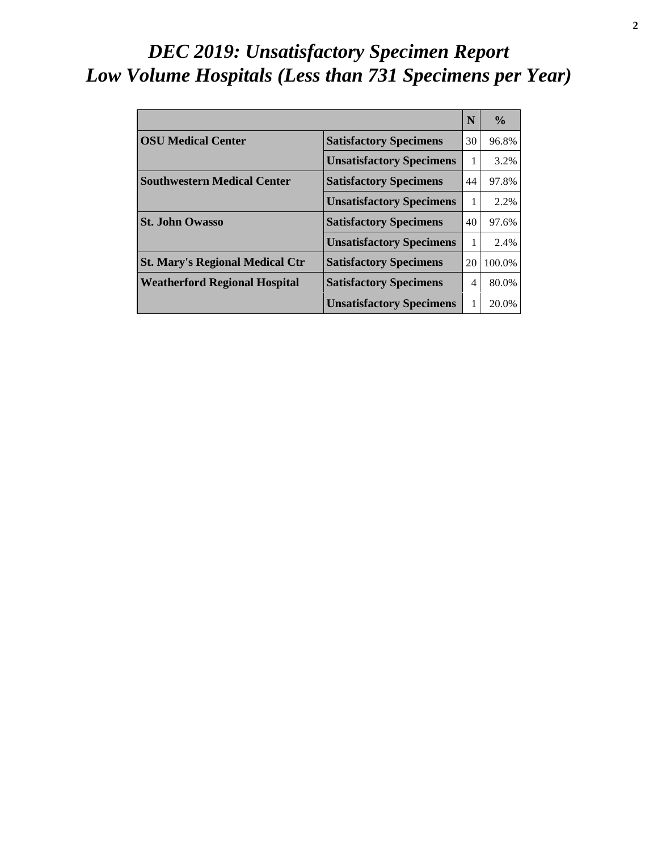# *DEC 2019: Unsatisfactory Specimen Report Low Volume Hospitals (Less than 731 Specimens per Year)*

|                                        |                                 | N              | $\frac{0}{\alpha}$ |
|----------------------------------------|---------------------------------|----------------|--------------------|
| <b>OSU Medical Center</b>              | <b>Satisfactory Specimens</b>   | 30             | 96.8%              |
|                                        | <b>Unsatisfactory Specimens</b> | 1              | 3.2%               |
| <b>Southwestern Medical Center</b>     | <b>Satisfactory Specimens</b>   | 44             | 97.8%              |
|                                        | <b>Unsatisfactory Specimens</b> | 1              | 2.2%               |
| <b>St. John Owasso</b>                 | <b>Satisfactory Specimens</b>   | 40             | 97.6%              |
|                                        | <b>Unsatisfactory Specimens</b> | 1              | 2.4%               |
| <b>St. Mary's Regional Medical Ctr</b> | <b>Satisfactory Specimens</b>   | 20             | 100.0%             |
| <b>Weatherford Regional Hospital</b>   | <b>Satisfactory Specimens</b>   | $\overline{4}$ | 80.0%              |
|                                        | <b>Unsatisfactory Specimens</b> | 1              | 20.0%              |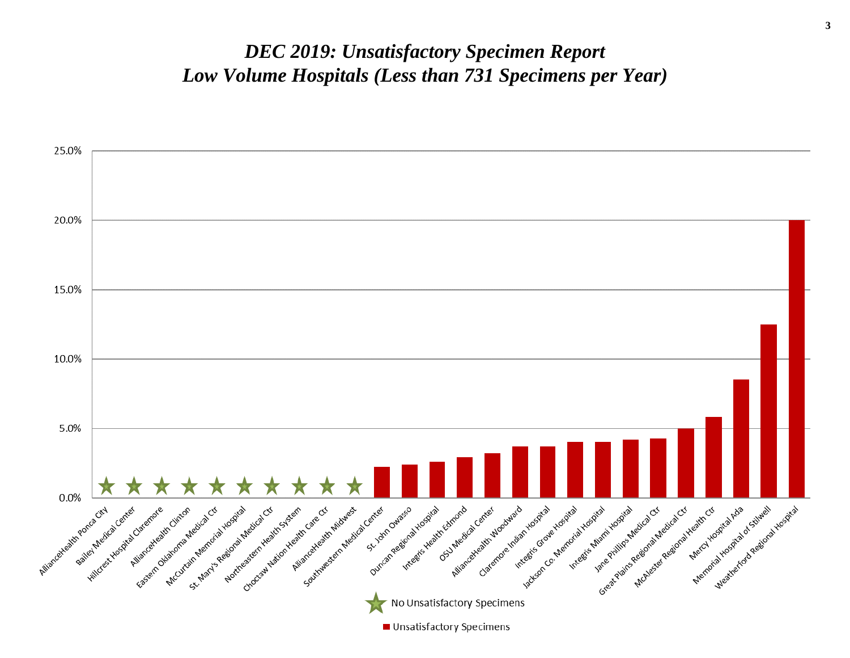#### *DEC 2019: Unsatisfactory Specimen Report Low Volume Hospitals (Less than 731 Specimens per Year)*

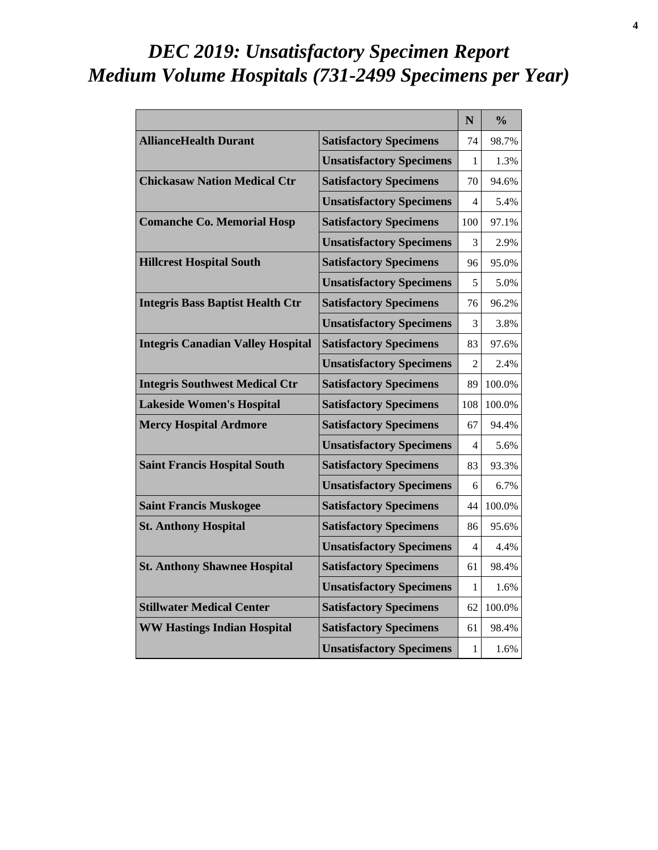# *DEC 2019: Unsatisfactory Specimen Report Medium Volume Hospitals (731-2499 Specimens per Year)*

|                                          |                                 | N              | $\frac{0}{0}$ |
|------------------------------------------|---------------------------------|----------------|---------------|
| <b>AllianceHealth Durant</b>             | <b>Satisfactory Specimens</b>   | 74             | 98.7%         |
|                                          | <b>Unsatisfactory Specimens</b> | 1              | 1.3%          |
| <b>Chickasaw Nation Medical Ctr</b>      | <b>Satisfactory Specimens</b>   | 70             | 94.6%         |
|                                          | <b>Unsatisfactory Specimens</b> | 4              | 5.4%          |
| <b>Comanche Co. Memorial Hosp</b>        | <b>Satisfactory Specimens</b>   | 100            | 97.1%         |
|                                          | <b>Unsatisfactory Specimens</b> | 3              | 2.9%          |
| <b>Hillcrest Hospital South</b>          | <b>Satisfactory Specimens</b>   | 96             | 95.0%         |
|                                          | <b>Unsatisfactory Specimens</b> | 5              | 5.0%          |
| <b>Integris Bass Baptist Health Ctr</b>  | <b>Satisfactory Specimens</b>   | 76             | 96.2%         |
|                                          | <b>Unsatisfactory Specimens</b> | 3              | 3.8%          |
| <b>Integris Canadian Valley Hospital</b> | <b>Satisfactory Specimens</b>   | 83             | 97.6%         |
|                                          | <b>Unsatisfactory Specimens</b> | $\overline{c}$ | 2.4%          |
| <b>Integris Southwest Medical Ctr</b>    | <b>Satisfactory Specimens</b>   | 89             | 100.0%        |
| <b>Lakeside Women's Hospital</b>         | <b>Satisfactory Specimens</b>   | 108            | 100.0%        |
| <b>Mercy Hospital Ardmore</b>            | <b>Satisfactory Specimens</b>   | 67             | 94.4%         |
|                                          | <b>Unsatisfactory Specimens</b> | 4              | 5.6%          |
| <b>Saint Francis Hospital South</b>      | <b>Satisfactory Specimens</b>   | 83             | 93.3%         |
|                                          | <b>Unsatisfactory Specimens</b> | 6              | 6.7%          |
| <b>Saint Francis Muskogee</b>            | <b>Satisfactory Specimens</b>   | 44             | 100.0%        |
| <b>St. Anthony Hospital</b>              | <b>Satisfactory Specimens</b>   | 86             | 95.6%         |
|                                          | <b>Unsatisfactory Specimens</b> | 4              | 4.4%          |
| <b>St. Anthony Shawnee Hospital</b>      | <b>Satisfactory Specimens</b>   | 61             | 98.4%         |
|                                          | <b>Unsatisfactory Specimens</b> | 1              | 1.6%          |
| <b>Stillwater Medical Center</b>         | <b>Satisfactory Specimens</b>   | 62             | 100.0%        |
| <b>WW Hastings Indian Hospital</b>       | <b>Satisfactory Specimens</b>   | 61             | 98.4%         |
|                                          | <b>Unsatisfactory Specimens</b> | 1              | 1.6%          |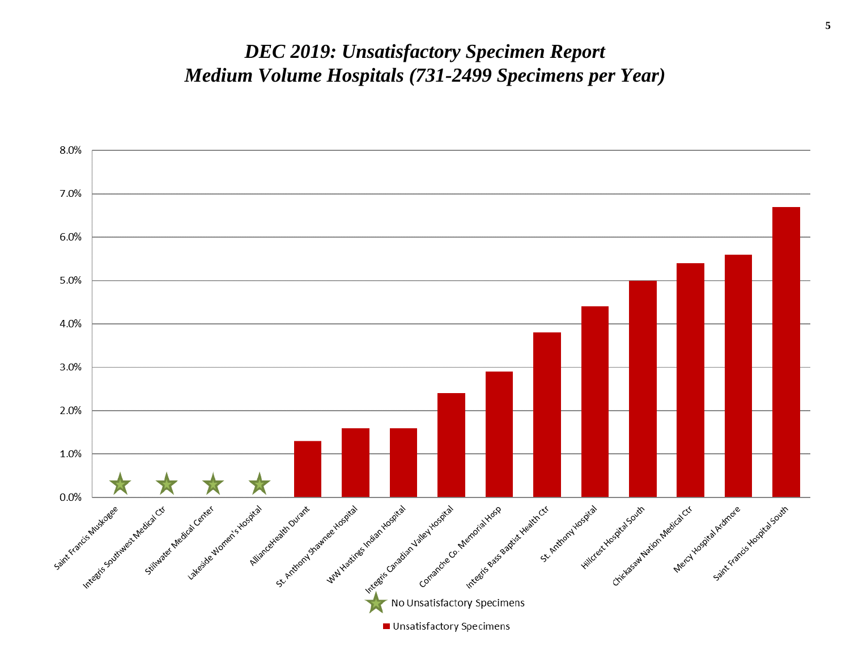#### *DEC 2019: Unsatisfactory Specimen Report Medium Volume Hospitals (731-2499 Specimens per Year)*

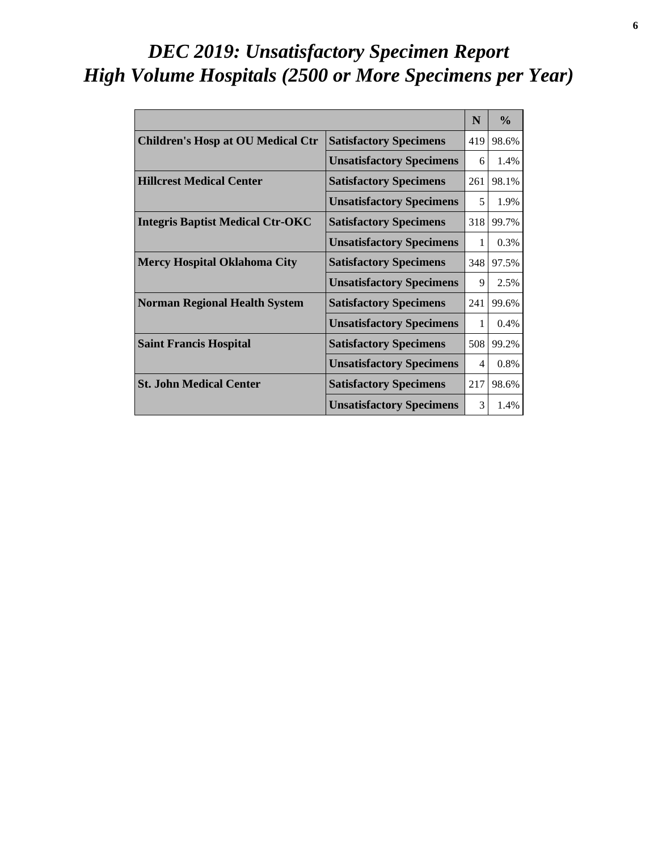# *DEC 2019: Unsatisfactory Specimen Report High Volume Hospitals (2500 or More Specimens per Year)*

|                                          |                                 | N   | $\frac{0}{0}$ |
|------------------------------------------|---------------------------------|-----|---------------|
| <b>Children's Hosp at OU Medical Ctr</b> | <b>Satisfactory Specimens</b>   | 419 | 98.6%         |
|                                          | <b>Unsatisfactory Specimens</b> | 6   | 1.4%          |
| <b>Hillcrest Medical Center</b>          | <b>Satisfactory Specimens</b>   | 261 | 98.1%         |
|                                          | <b>Unsatisfactory Specimens</b> | 5   | 1.9%          |
| <b>Integris Baptist Medical Ctr-OKC</b>  | <b>Satisfactory Specimens</b>   | 318 | 99.7%         |
|                                          | <b>Unsatisfactory Specimens</b> | 1   | 0.3%          |
| <b>Mercy Hospital Oklahoma City</b>      | <b>Satisfactory Specimens</b>   | 348 | 97.5%         |
|                                          | <b>Unsatisfactory Specimens</b> | 9   | 2.5%          |
| <b>Norman Regional Health System</b>     | <b>Satisfactory Specimens</b>   | 241 | 99.6%         |
|                                          | <b>Unsatisfactory Specimens</b> | 1   | $0.4\%$       |
| <b>Saint Francis Hospital</b>            | <b>Satisfactory Specimens</b>   | 508 | 99.2%         |
|                                          | <b>Unsatisfactory Specimens</b> | 4   | 0.8%          |
| <b>St. John Medical Center</b>           | <b>Satisfactory Specimens</b>   | 217 | 98.6%         |
|                                          | <b>Unsatisfactory Specimens</b> | 3   | 1.4%          |